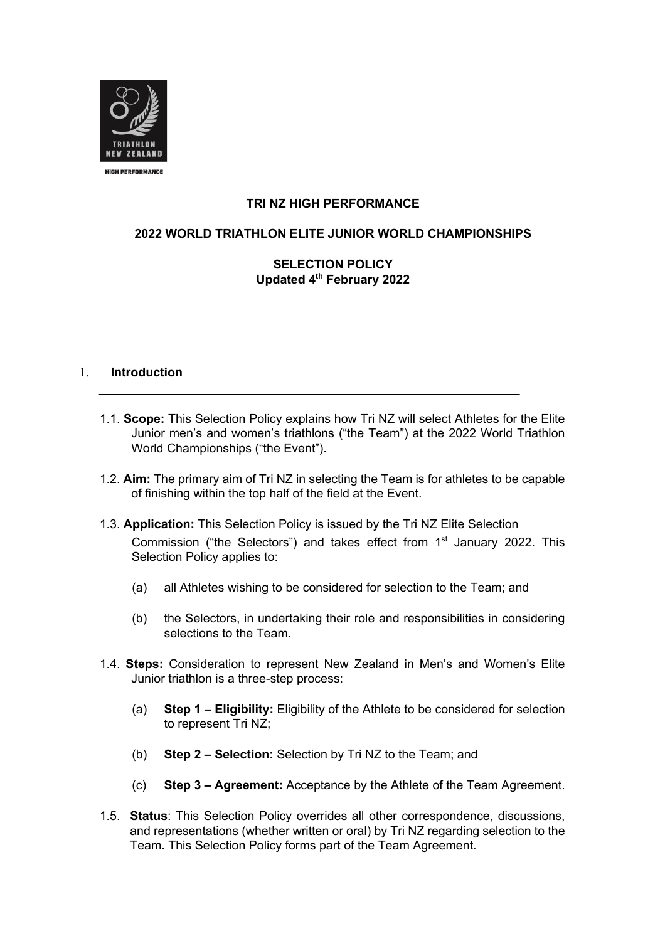

# **TRI NZ HIGH PERFORMANCE**

# **2022 WORLD TRIATHLON ELITE JUNIOR WORLD CHAMPIONSHIPS**

# **SELECTION POLICY Updated 4th February 2022**

## 1. **Introduction**

- 1.1. **Scope:** This Selection Policy explains how Tri NZ will select Athletes for the Elite Junior men's and women's triathlons ("the Team") at the 2022 World Triathlon World Championships ("the Event").
- 1.2. **Aim:** The primary aim of Tri NZ in selecting the Team is for athletes to be capable of finishing within the top half of the field at the Event.
- 1.3. **Application:** This Selection Policy is issued by the Tri NZ Elite Selection Commission ("the Selectors") and takes effect from  $1<sup>st</sup>$  January 2022. This Selection Policy applies to:
	- (a) all Athletes wishing to be considered for selection to the Team; and
	- (b) the Selectors, in undertaking their role and responsibilities in considering selections to the Team.
- 1.4. **Steps:** Consideration to represent New Zealand in Men's and Women's Elite Junior triathlon is a three-step process:
	- (a) **Step 1 – Eligibility:** Eligibility of the Athlete to be considered for selection to represent Tri NZ;
	- (b) **Step 2 – Selection:** Selection by Tri NZ to the Team; and
	- (c) **Step 3 – Agreement:** Acceptance by the Athlete of the Team Agreement.
- 1.5. **Status**: This Selection Policy overrides all other correspondence, discussions, and representations (whether written or oral) by Tri NZ regarding selection to the Team. This Selection Policy forms part of the Team Agreement.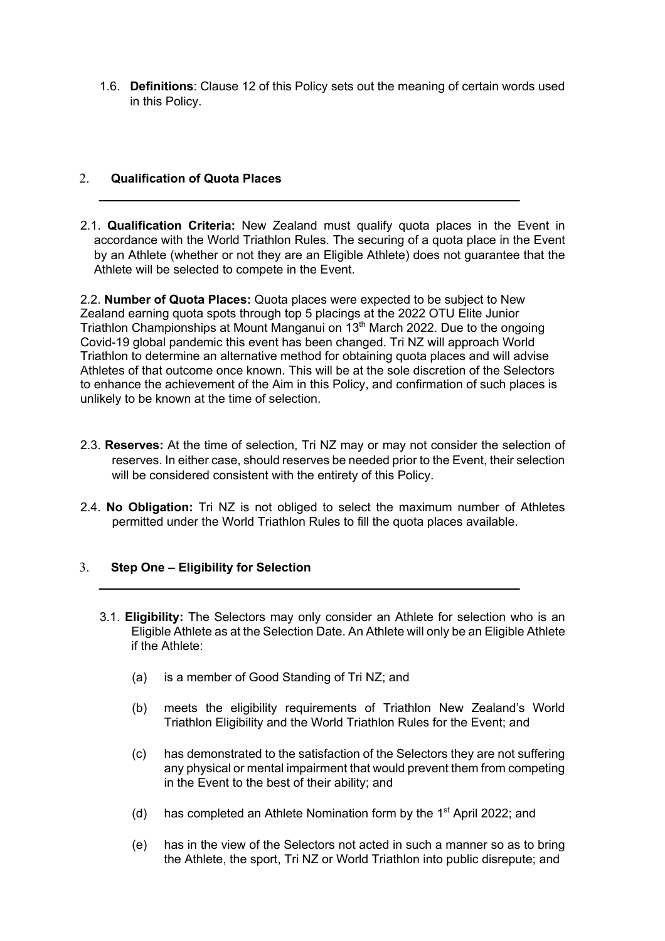1.6. **Definitions**: Clause 12 of this Policy sets out the meaning of certain words used in this Policy.

# 2. **Qualification of Quota Places**

2.1. **Qualification Criteria:** New Zealand must qualify quota places in the Event in accordance with the World Triathlon Rules. The securing of a quota place in the Event by an Athlete (whether or not they are an Eligible Athlete) does not guarantee that the Athlete will be selected to compete in the Event.

2.2. **Number of Quota Places:** Quota places were expected to be subject to New Zealand earning quota spots through top 5 placings at the 2022 OTU Elite Junior Triathlon Championships at Mount Manganui on 13<sup>th</sup> March 2022. Due to the ongoing Covid-19 global pandemic this event has been changed. Tri NZ will approach World Triathlon to determine an alternative method for obtaining quota places and will advise Athletes of that outcome once known. This will be at the sole discretion of the Selectors to enhance the achievement of the Aim in this Policy, and confirmation of such places is unlikely to be known at the time of selection.

- 2.3. **Reserves:** At the time of selection, Tri NZ may or may not consider the selection of reserves. In either case, should reserves be needed prior to the Event, their selection will be considered consistent with the entirety of this Policy.
- 2.4. **No Obligation:** Tri NZ is not obliged to select the maximum number of Athletes permitted under the World Triathlon Rules to fill the quota places available.

# 3. **Step One – Eligibility for Selection**

- 3.1. **Eligibility:** The Selectors may only consider an Athlete for selection who is an Eligible Athlete as at the Selection Date. An Athlete will only be an Eligible Athlete if the Athlete:
	- (a) is a member of Good Standing of Tri NZ; and
	- (b) meets the eligibility requirements of Triathlon New Zealand's World Triathlon Eligibility and the World Triathlon Rules for the Event; and
	- (c) has demonstrated to the satisfaction of the Selectors they are not suffering any physical or mental impairment that would prevent them from competing in the Event to the best of their ability; and
	- (d) has completed an Athlete Nomination form by the  $1<sup>st</sup>$  April 2022; and
	- (e) has in the view of the Selectors not acted in such a manner so as to bring the Athlete, the sport, Tri NZ or World Triathlon into public disrepute; and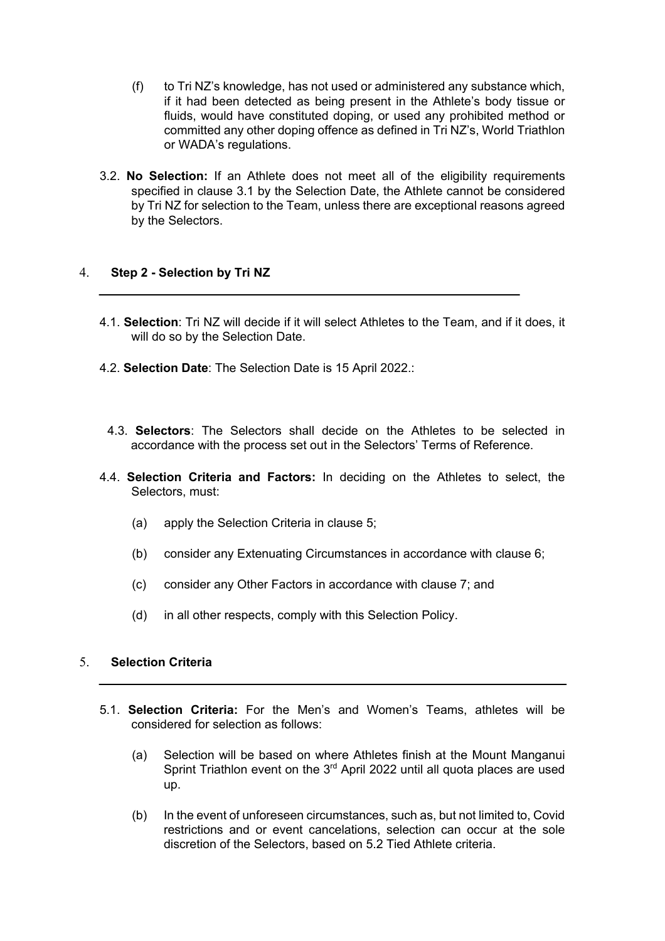- (f) to Tri NZ's knowledge, has not used or administered any substance which, if it had been detected as being present in the Athlete's body tissue or fluids, would have constituted doping, or used any prohibited method or committed any other doping offence as defined in Tri NZ's, World Triathlon or WADA's regulations.
- 3.2. **No Selection:** If an Athlete does not meet all of the eligibility requirements specified in clause 3.1 by the Selection Date, the Athlete cannot be considered by Tri NZ for selection to the Team, unless there are exceptional reasons agreed by the Selectors.

# 4. **Step 2 - Selection by Tri NZ**

- 4.1. **Selection**: Tri NZ will decide if it will select Athletes to the Team, and if it does, it will do so by the Selection Date.
- 4.2. **Selection Date**: The Selection Date is 15 April 2022.:
	- 4.3. **Selectors**: The Selectors shall decide on the Athletes to be selected in accordance with the process set out in the Selectors' Terms of Reference.
- 4.4. **Selection Criteria and Factors:** In deciding on the Athletes to select, the Selectors, must:
	- (a) apply the Selection Criteria in clause 5;
	- (b) consider any Extenuating Circumstances in accordance with clause 6;
	- (c) consider any Other Factors in accordance with clause 7; and
	- (d) in all other respects, comply with this Selection Policy.

# 5. **Selection Criteria**

- 5.1. **Selection Criteria:** For the Men's and Women's Teams, athletes will be considered for selection as follows:
	- (a) Selection will be based on where Athletes finish at the Mount Manganui Sprint Triathlon event on the  $3<sup>rd</sup>$  April 2022 until all quota places are used up.
	- (b) In the event of unforeseen circumstances, such as, but not limited to, Covid restrictions and or event cancelations, selection can occur at the sole discretion of the Selectors, based on 5.2 Tied Athlete criteria.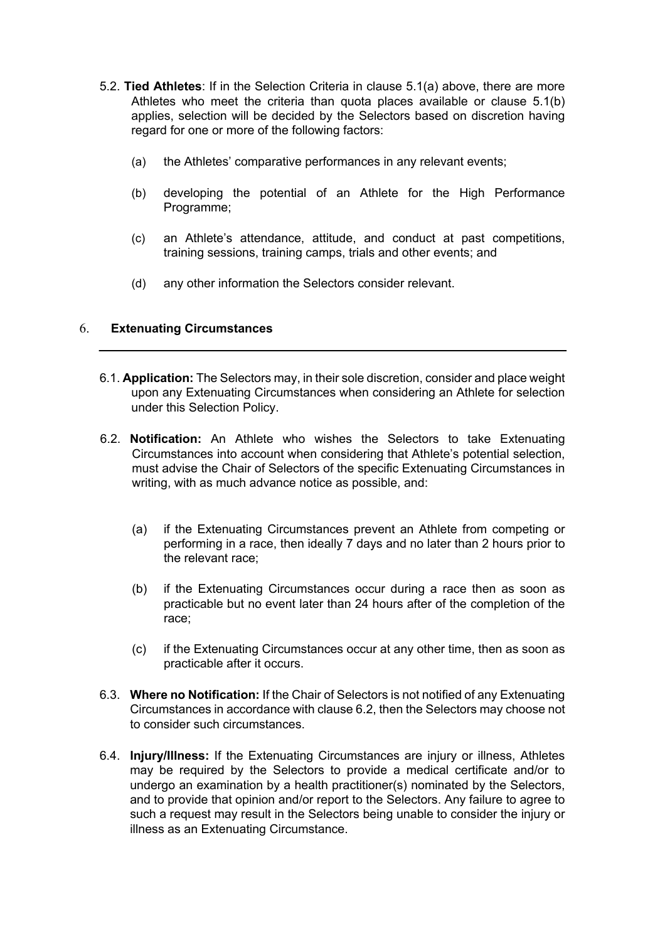- 5.2. **Tied Athletes**: If in the Selection Criteria in clause 5.1(a) above, there are more Athletes who meet the criteria than quota places available or clause 5.1(b) applies, selection will be decided by the Selectors based on discretion having regard for one or more of the following factors:
	- (a) the Athletes' comparative performances in any relevant events;
	- (b) developing the potential of an Athlete for the High Performance Programme;
	- (c) an Athlete's attendance, attitude, and conduct at past competitions, training sessions, training camps, trials and other events; and
	- (d) any other information the Selectors consider relevant.

## 6. **Extenuating Circumstances**

- 6.1. **Application:** The Selectors may, in their sole discretion, consider and place weight upon any Extenuating Circumstances when considering an Athlete for selection under this Selection Policy.
- 6.2. **Notification:** An Athlete who wishes the Selectors to take Extenuating Circumstances into account when considering that Athlete's potential selection, must advise the Chair of Selectors of the specific Extenuating Circumstances in writing, with as much advance notice as possible, and:
	- (a) if the Extenuating Circumstances prevent an Athlete from competing or performing in a race, then ideally 7 days and no later than 2 hours prior to the relevant race;
	- (b) if the Extenuating Circumstances occur during a race then as soon as practicable but no event later than 24 hours after of the completion of the race;
	- (c) if the Extenuating Circumstances occur at any other time, then as soon as practicable after it occurs.
- 6.3. **Where no Notification:** If the Chair of Selectors is not notified of any Extenuating Circumstances in accordance with clause 6.2, then the Selectors may choose not to consider such circumstances.
- 6.4. **Injury/Illness:** If the Extenuating Circumstances are injury or illness, Athletes may be required by the Selectors to provide a medical certificate and/or to undergo an examination by a health practitioner(s) nominated by the Selectors, and to provide that opinion and/or report to the Selectors. Any failure to agree to such a request may result in the Selectors being unable to consider the injury or illness as an Extenuating Circumstance.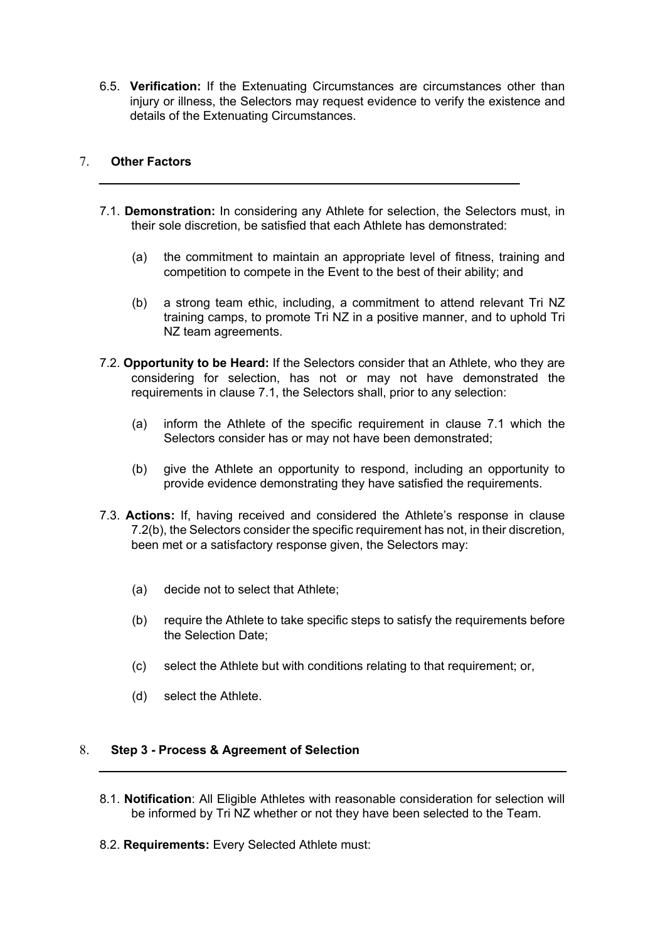6.5. **Verification:** If the Extenuating Circumstances are circumstances other than injury or illness, the Selectors may request evidence to verify the existence and details of the Extenuating Circumstances.

# 7. **Other Factors**

- 7.1. **Demonstration:** In considering any Athlete for selection, the Selectors must, in their sole discretion, be satisfied that each Athlete has demonstrated:
	- (a) the commitment to maintain an appropriate level of fitness, training and competition to compete in the Event to the best of their ability; and
	- (b) a strong team ethic, including, a commitment to attend relevant Tri NZ training camps, to promote Tri NZ in a positive manner, and to uphold Tri NZ team agreements.
- 7.2. **Opportunity to be Heard:** If the Selectors consider that an Athlete, who they are considering for selection, has not or may not have demonstrated the requirements in clause 7.1, the Selectors shall, prior to any selection:
	- (a) inform the Athlete of the specific requirement in clause 7.1 which the Selectors consider has or may not have been demonstrated;
	- (b) give the Athlete an opportunity to respond, including an opportunity to provide evidence demonstrating they have satisfied the requirements.
- 7.3. **Actions:** If, having received and considered the Athlete's response in clause 7.2(b), the Selectors consider the specific requirement has not, in their discretion, been met or a satisfactory response given, the Selectors may:
	- (a) decide not to select that Athlete;
	- (b) require the Athlete to take specific steps to satisfy the requirements before the Selection Date;
	- (c) select the Athlete but with conditions relating to that requirement; or,
	- (d) select the Athlete.

## 8. **Step 3 - Process & Agreement of Selection**

- 8.1. **Notification**: All Eligible Athletes with reasonable consideration for selection will be informed by Tri NZ whether or not they have been selected to the Team.
- 8.2. **Requirements:** Every Selected Athlete must: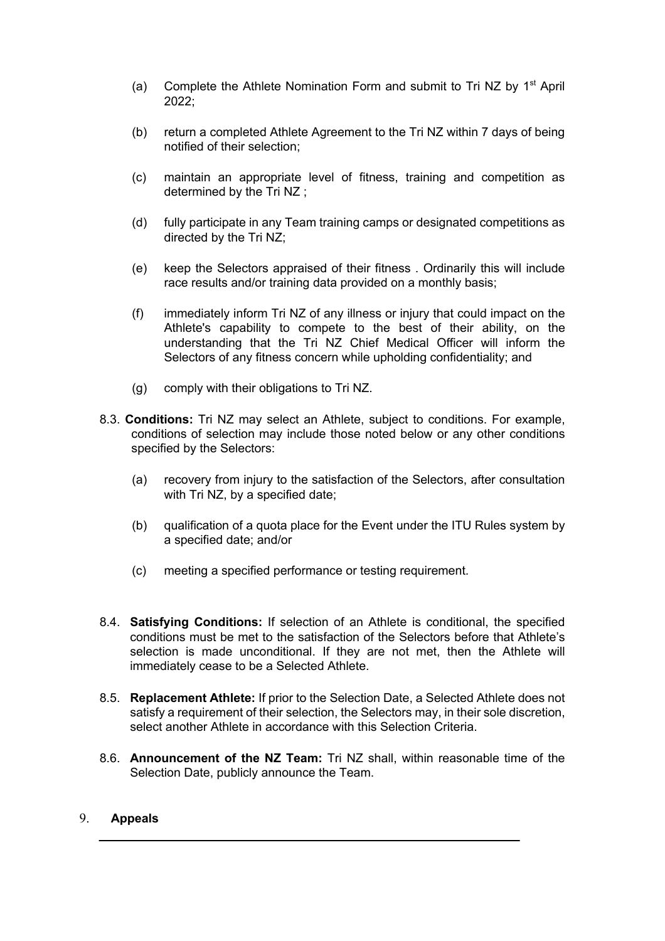- (a) Complete the Athlete Nomination Form and submit to Tri NZ by  $1<sup>st</sup>$  April 2022;
- (b) return a completed Athlete Agreement to the Tri NZ within 7 days of being notified of their selection;
- (c) maintain an appropriate level of fitness, training and competition as determined by the Tri NZ ;
- (d) fully participate in any Team training camps or designated competitions as directed by the Tri NZ;
- (e) keep the Selectors appraised of their fitness . Ordinarily this will include race results and/or training data provided on a monthly basis;
- (f) immediately inform Tri NZ of any illness or injury that could impact on the Athlete's capability to compete to the best of their ability, on the understanding that the Tri NZ Chief Medical Officer will inform the Selectors of any fitness concern while upholding confidentiality; and
- (g) comply with their obligations to Tri NZ.
- 8.3. **Conditions:** Tri NZ may select an Athlete, subject to conditions. For example, conditions of selection may include those noted below or any other conditions specified by the Selectors:
	- (a) recovery from injury to the satisfaction of the Selectors, after consultation with Tri NZ, by a specified date;
	- (b) qualification of a quota place for the Event under the ITU Rules system by a specified date; and/or
	- (c) meeting a specified performance or testing requirement.
- 8.4. **Satisfying Conditions:** If selection of an Athlete is conditional, the specified conditions must be met to the satisfaction of the Selectors before that Athlete's selection is made unconditional. If they are not met, then the Athlete will immediately cease to be a Selected Athlete.
- 8.5. **Replacement Athlete:** If prior to the Selection Date, a Selected Athlete does not satisfy a requirement of their selection, the Selectors may, in their sole discretion, select another Athlete in accordance with this Selection Criteria.
- 8.6. **Announcement of the NZ Team:** Tri NZ shall, within reasonable time of the Selection Date, publicly announce the Team.

## 9. **Appeals**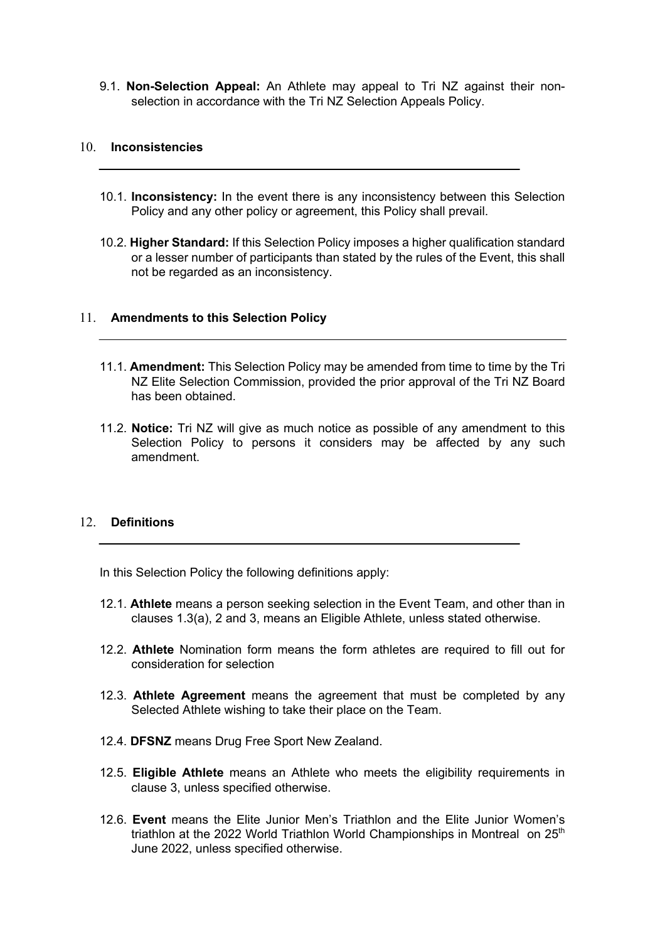9.1. **Non-Selection Appeal:** An Athlete may appeal to Tri NZ against their nonselection in accordance with the Tri NZ Selection Appeals Policy.

#### 10. **Inconsistencies**

- 10.1. **Inconsistency:** In the event there is any inconsistency between this Selection Policy and any other policy or agreement, this Policy shall prevail.
- 10.2. **Higher Standard:** If this Selection Policy imposes a higher qualification standard or a lesser number of participants than stated by the rules of the Event, this shall not be regarded as an inconsistency.

## 11. **Amendments to this Selection Policy**

- 11.1. **Amendment:** This Selection Policy may be amended from time to time by the Tri NZ Elite Selection Commission, provided the prior approval of the Tri NZ Board has been obtained.
- 11.2. **Notice:** Tri NZ will give as much notice as possible of any amendment to this Selection Policy to persons it considers may be affected by any such amendment.

#### 12. **Definitions**

In this Selection Policy the following definitions apply:

- 12.1. **Athlete** means a person seeking selection in the Event Team, and other than in clauses 1.3(a), 2 and 3, means an Eligible Athlete, unless stated otherwise.
- 12.2. **Athlete** Nomination form means the form athletes are required to fill out for consideration for selection
- 12.3. **Athlete Agreement** means the agreement that must be completed by any Selected Athlete wishing to take their place on the Team.
- 12.4. **DFSNZ** means Drug Free Sport New Zealand.
- 12.5. **Eligible Athlete** means an Athlete who meets the eligibility requirements in clause 3, unless specified otherwise.
- 12.6. **Event** means the Elite Junior Men's Triathlon and the Elite Junior Women's triathlon at the 2022 World Triathlon World Championships in Montreal on  $25<sup>th</sup>$ June 2022, unless specified otherwise.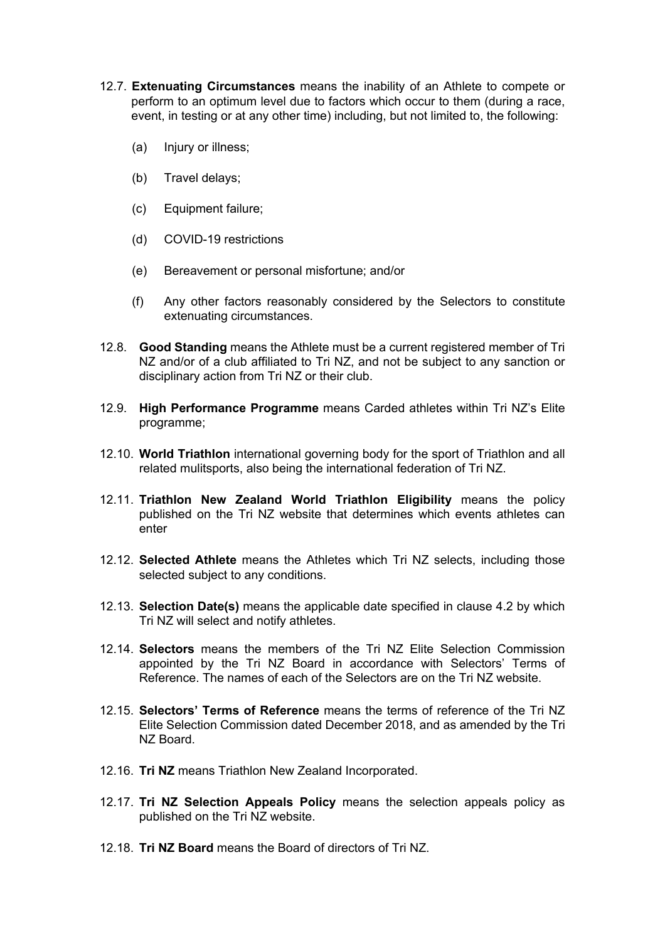- 12.7. **Extenuating Circumstances** means the inability of an Athlete to compete or perform to an optimum level due to factors which occur to them (during a race, event, in testing or at any other time) including, but not limited to, the following:
	- (a) Injury or illness;
	- (b) Travel delays;
	- (c) Equipment failure;
	- (d) COVID-19 restrictions
	- (e) Bereavement or personal misfortune; and/or
	- (f) Any other factors reasonably considered by the Selectors to constitute extenuating circumstances.
- 12.8. **Good Standing** means the Athlete must be a current registered member of Tri NZ and/or of a club affiliated to Tri NZ, and not be subject to any sanction or disciplinary action from Tri NZ or their club.
- 12.9. **High Performance Programme** means Carded athletes within Tri NZ's Elite programme;
- 12.10. **World Triathlon** international governing body for the sport of Triathlon and all related mulitsports, also being the international federation of Tri NZ.
- 12.11. **Triathlon New Zealand World Triathlon Eligibility** means the policy published on the Tri NZ website that determines which events athletes can enter
- 12.12. **Selected Athlete** means the Athletes which Tri NZ selects, including those selected subject to any conditions.
- 12.13. **Selection Date(s)** means the applicable date specified in clause 4.2 by which Tri NZ will select and notify athletes.
- 12.14. **Selectors** means the members of the Tri NZ Elite Selection Commission appointed by the Tri NZ Board in accordance with Selectors' Terms of Reference. The names of each of the Selectors are on the Tri NZ website.
- 12.15. **Selectors' Terms of Reference** means the terms of reference of the Tri NZ Elite Selection Commission dated December 2018, and as amended by the Tri NZ Board.
- 12.16. **Tri NZ** means Triathlon New Zealand Incorporated.
- 12.17. **Tri NZ Selection Appeals Policy** means the selection appeals policy as published on the Tri NZ website.
- 12.18. **Tri NZ Board** means the Board of directors of Tri NZ.